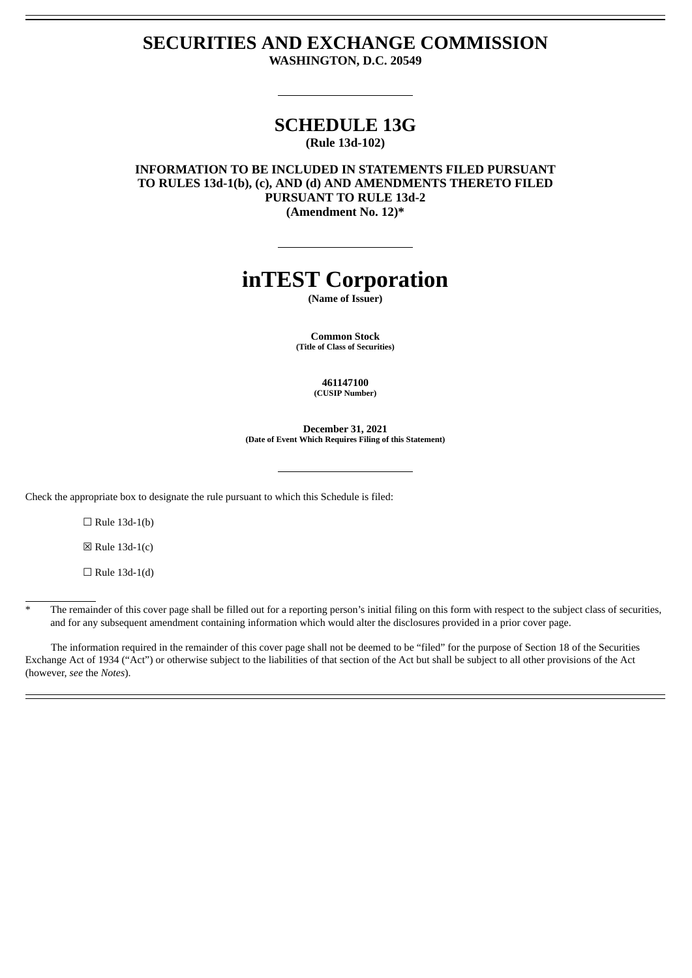# **SECURITIES AND EXCHANGE COMMISSION WASHINGTON, D.C. 20549**

## **SCHEDULE 13G (Rule 13d-102)**

**INFORMATION TO BE INCLUDED IN STATEMENTS FILED PURSUANT TO RULES 13d-1(b), (c), AND (d) AND AMENDMENTS THERETO FILED PURSUANT TO RULE 13d-2 (Amendment No. 12)\***

# **inTEST Corporation**

**(Name of Issuer)**

**Common Stock (Title of Class of Securities)**

> **461147100 (CUSIP Number)**

**December 31, 2021 (Date of Event Which Requires Filing of this Statement)**

Check the appropriate box to designate the rule pursuant to which this Schedule is filed:

 $\Box$  Rule 13d-1(b)

 $\boxtimes$  Rule 13d-1(c)

 $\Box$  Rule 13d-1(d)

The remainder of this cover page shall be filled out for a reporting person's initial filing on this form with respect to the subject class of securities, and for any subsequent amendment containing information which would alter the disclosures provided in a prior cover page.

The information required in the remainder of this cover page shall not be deemed to be "filed" for the purpose of Section 18 of the Securities Exchange Act of 1934 ("Act") or otherwise subject to the liabilities of that section of the Act but shall be subject to all other provisions of the Act (however, *see* the *Notes*).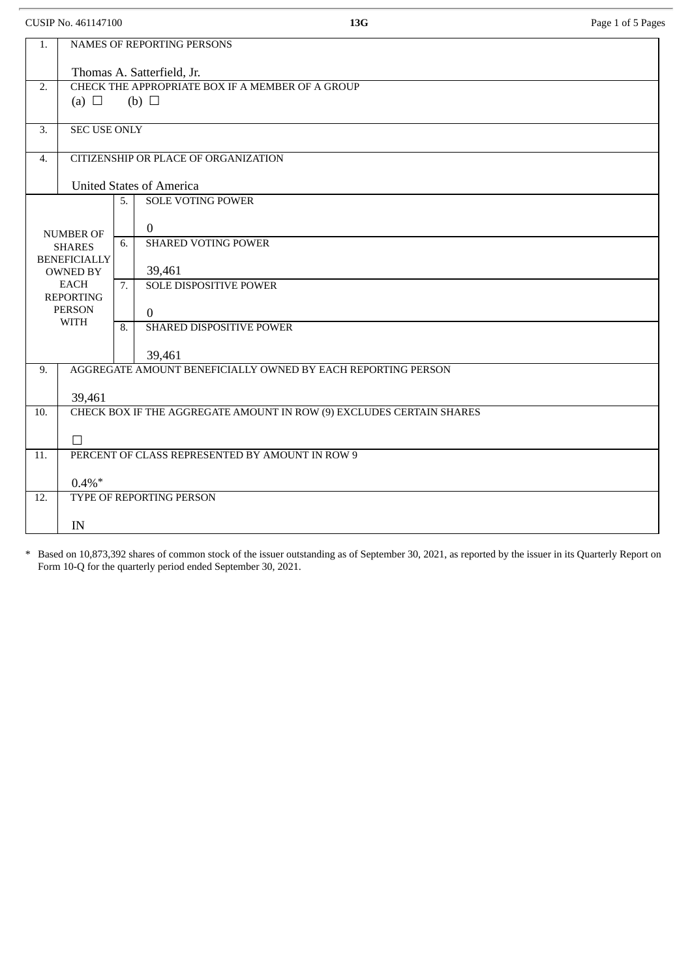CUSIP No. 461147100 **13G** Page 1 of 5 Pages

| 1.                                     | <b>NAMES OF REPORTING PERSONS</b>                                    |    |                               |
|----------------------------------------|----------------------------------------------------------------------|----|-------------------------------|
|                                        | Thomas A. Satterfield, Jr.                                           |    |                               |
| 2.                                     | CHECK THE APPROPRIATE BOX IF A MEMBER OF A GROUP                     |    |                               |
|                                        | (a) $\Box$<br>(b) $\Box$                                             |    |                               |
| 3.                                     | <b>SEC USE ONLY</b>                                                  |    |                               |
| $\overline{4}$ .                       | CITIZENSHIP OR PLACE OF ORGANIZATION                                 |    |                               |
|                                        |                                                                      |    |                               |
|                                        | <b>United States of America</b>                                      |    |                               |
|                                        |                                                                      | 5. | <b>SOLE VOTING POWER</b>      |
| <b>NUMBER OF</b><br><b>SHARES</b>      |                                                                      |    | $\overline{0}$                |
|                                        |                                                                      | 6. | <b>SHARED VOTING POWER</b>    |
| <b>BENEFICIALLY</b><br><b>OWNED BY</b> |                                                                      |    | 39,461                        |
| <b>EACH</b>                            |                                                                      | 7. | <b>SOLE DISPOSITIVE POWER</b> |
| <b>REPORTING</b><br><b>PERSON</b>      |                                                                      |    | $\overline{0}$                |
| <b>WITH</b>                            |                                                                      | 8. | SHARED DISPOSITIVE POWER      |
|                                        |                                                                      |    |                               |
| 9.                                     |                                                                      |    | 39,461                        |
|                                        | AGGREGATE AMOUNT BENEFICIALLY OWNED BY EACH REPORTING PERSON         |    |                               |
|                                        | 39,461                                                               |    |                               |
| 10.                                    | CHECK BOX IF THE AGGREGATE AMOUNT IN ROW (9) EXCLUDES CERTAIN SHARES |    |                               |
|                                        | $\Box$                                                               |    |                               |
| 11.                                    | PERCENT OF CLASS REPRESENTED BY AMOUNT IN ROW 9                      |    |                               |
|                                        | $0.4\%$ *                                                            |    |                               |
| 12.                                    | TYPE OF REPORTING PERSON                                             |    |                               |
|                                        |                                                                      |    |                               |
|                                        | IN                                                                   |    |                               |

\* Based on 10,873,392 shares of common stock of the issuer outstanding as of September 30, 2021, as reported by the issuer in its Quarterly Report on Form 10-Q for the quarterly period ended September 30, 2021.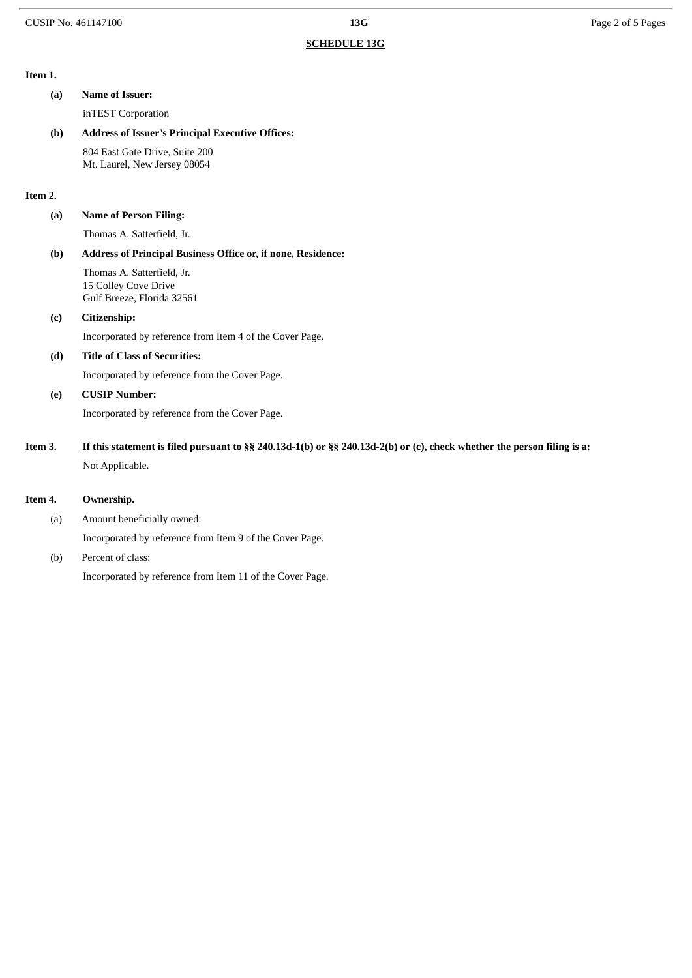#### **Item 1.**

**(a) Name of Issuer:** inTEST Corporation **(b) Address of Issuer's Principal Executive Offices:** 804 East Gate Drive, Suite 200 Mt. Laurel, New Jersey 08054 **Item 2. (a) Name of Person Filing:** Thomas A. Satterfield, Jr. **(b) Address of Principal Business Office or, if none, Residence:** Thomas A. Satterfield, Jr. 15 Colley Cove Drive Gulf Breeze, Florida 32561 **(c) Citizenship:** Incorporated by reference from Item 4 of the Cover Page. **(d) Title of Class of Securities:** Incorporated by reference from the Cover Page. **(e) CUSIP Number:** Incorporated by reference from the Cover Page. Item 3. If this statement is filed pursuant to §§ 240.13d-1(b) or §§ 240.13d-2(b) or (c), check whether the person filing is a: Not Applicable.

#### **Item 4. Ownership.**

(a) Amount beneficially owned:

Incorporated by reference from Item 9 of the Cover Page.

(b) Percent of class: Incorporated by reference from Item 11 of the Cover Page.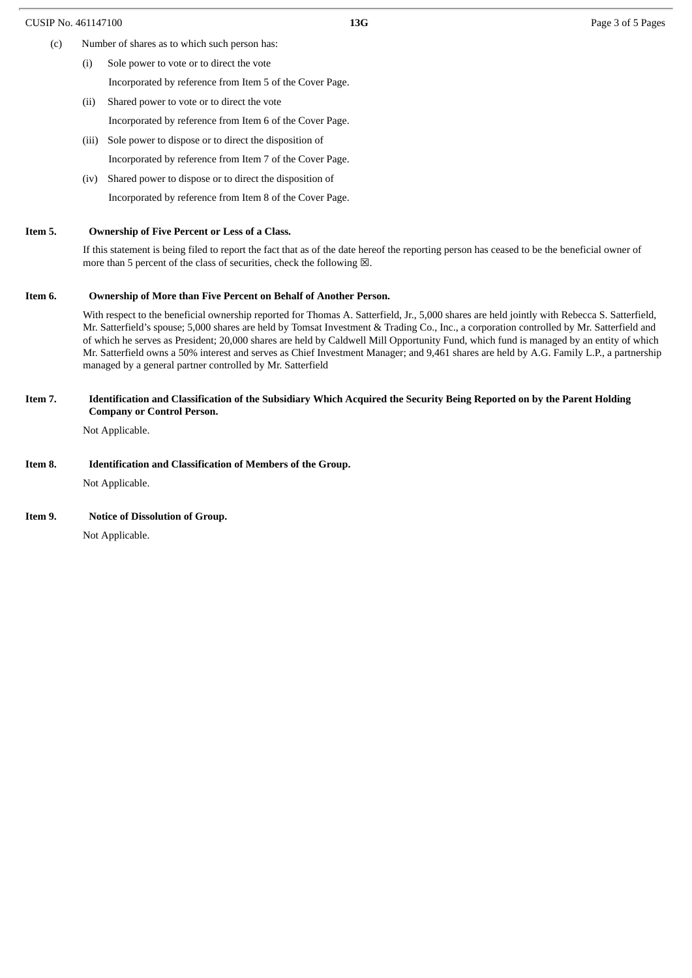- (c) Number of shares as to which such person has:
	- (i) Sole power to vote or to direct the vote Incorporated by reference from Item 5 of the Cover Page.
	- (ii) Shared power to vote or to direct the vote
		- Incorporated by reference from Item 6 of the Cover Page.
	- (iii) Sole power to dispose or to direct the disposition of
		- Incorporated by reference from Item 7 of the Cover Page.
	- (iv) Shared power to dispose or to direct the disposition of Incorporated by reference from Item 8 of the Cover Page.

#### **Item 5. Ownership of Five Percent or Less of a Class.**

If this statement is being filed to report the fact that as of the date hereof the reporting person has ceased to be the beneficial owner of more than 5 percent of the class of securities, check the following  $\boxtimes$ .

#### **Item 6. Ownership of More than Five Percent on Behalf of Another Person.**

With respect to the beneficial ownership reported for Thomas A. Satterfield, Jr., 5,000 shares are held jointly with Rebecca S. Satterfield, Mr. Satterfield's spouse; 5,000 shares are held by Tomsat Investment & Trading Co., Inc., a corporation controlled by Mr. Satterfield and of which he serves as President; 20,000 shares are held by Caldwell Mill Opportunity Fund, which fund is managed by an entity of which Mr. Satterfield owns a 50% interest and serves as Chief Investment Manager; and 9,461 shares are held by A.G. Family L.P., a partnership managed by a general partner controlled by Mr. Satterfield

#### Item 7. Identification and Classification of the Subsidiary Which Acquired the Security Being Reported on by the Parent Holding **Company or Control Person.**

Not Applicable.

#### **Item 8. Identification and Classification of Members of the Group.**

Not Applicable.

#### **Item 9. Notice of Dissolution of Group.**

Not Applicable.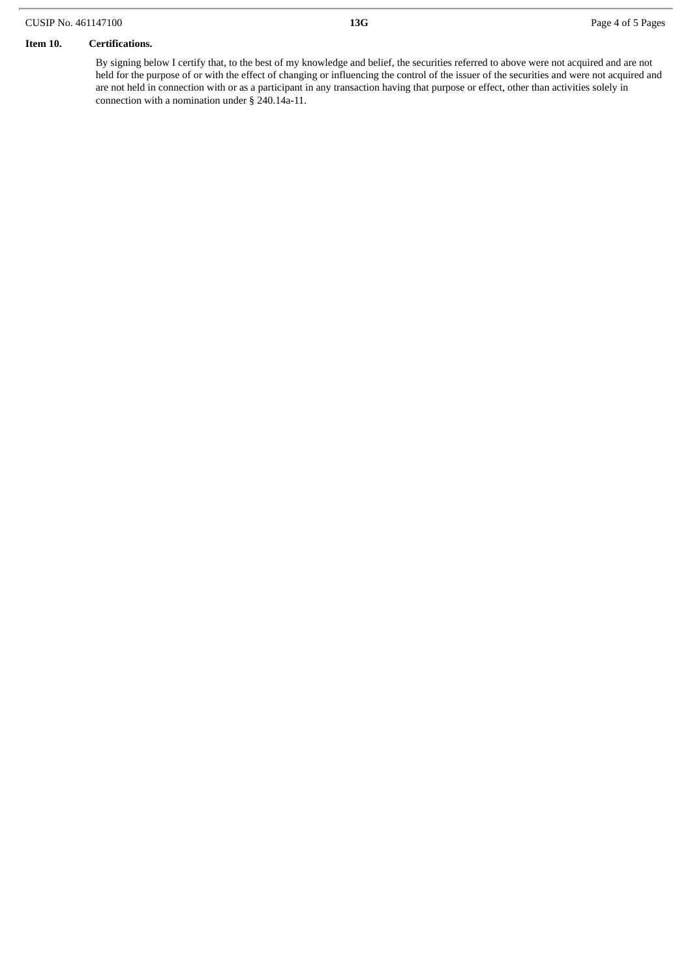#### CUSIP No. 461147100 **13G** Page 4 of 5 Pages

#### **Item 10. Certifications.**

By signing below I certify that, to the best of my knowledge and belief, the securities referred to above were not acquired and are not held for the purpose of or with the effect of changing or influencing the control of the issuer of the securities and were not acquired and are not held in connection with or as a participant in any transaction having that purpose or effect, other than activities solely in connection with a nomination under § 240.14a-11.